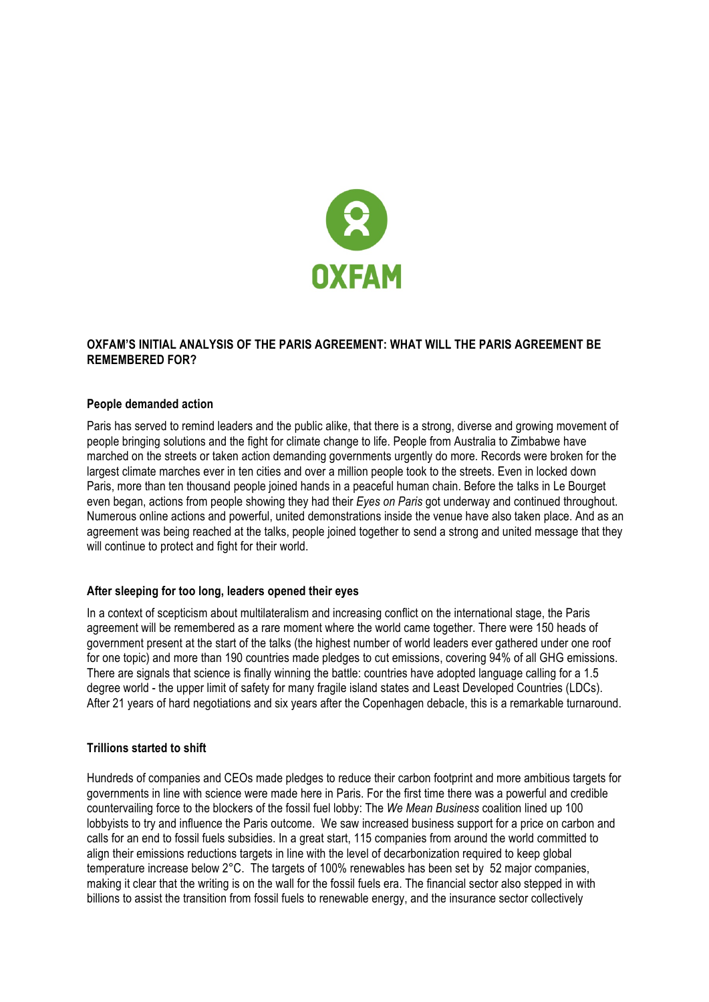

## **OXFAM'S INITIAL ANALYSIS OF THE PARIS AGREEMENT: WHAT WILL THE PARIS AGREEMENT BE REMEMBERED FOR?**

### **People demanded action**

Paris has served to remind leaders and the public alike, that there is a strong, diverse and growing movement of people bringing solutions and the fight for climate change to life. People from Australia to Zimbabwe have marched on the streets or taken action demanding governments urgently do more. Records were broken for the largest climate marches ever in ten cities and over a million people took to the streets. Even in locked down Paris, more than ten thousand people joined hands in a peaceful human chain. Before the talks in Le Bourget even began, actions from people showing they had their *Eyes on Paris* got underway and continued throughout. Numerous online actions and powerful, united demonstrations inside the venue have also taken place. And as an agreement was being reached at the talks, people joined together to send a strong and united message that they will continue to protect and fight for their world.

## **After sleeping for too long, leaders opened their eyes**

In a context of scepticism about multilateralism and increasing conflict on the international stage, the Paris agreement will be remembered as a rare moment where the world came together. There were 150 heads of government present at the start of the talks (the highest number of world leaders ever gathered under one roof for one topic) and more than 190 countries made pledges to cut emissions, covering 94% of all GHG emissions. There are signals that science is finally winning the battle: countries have adopted language calling for a 1.5 degree world - the upper limit of safety for many fragile island states and Least Developed Countries (LDCs). After 21 years of hard negotiations and six years after the Copenhagen debacle, this is a remarkable turnaround.

### **Trillions started to shift**

Hundreds of companies and CEOs made pledges to reduce their carbon footprint and more ambitious targets for governments in line with science were made here in Paris. For the first time there was a powerful and credible countervailing force to the blockers of the fossil fuel lobby: The *We Mean Business* coalition lined up 100 lobbyists to try and influence the Paris outcome. We saw increased business support for a price on carbon and calls for an end to fossil fuels subsidies. In a great start, 115 companies from around the world committed to align their emissions reductions targets in line with the level of decarbonization required to keep global temperature increase below 2°C. The targets of 100% renewables has been set by 52 major companies, making it clear that the writing is on the wall for the fossil fuels era. The financial sector also stepped in with billions to assist the transition from fossil fuels to renewable energy, and the insurance sector collectively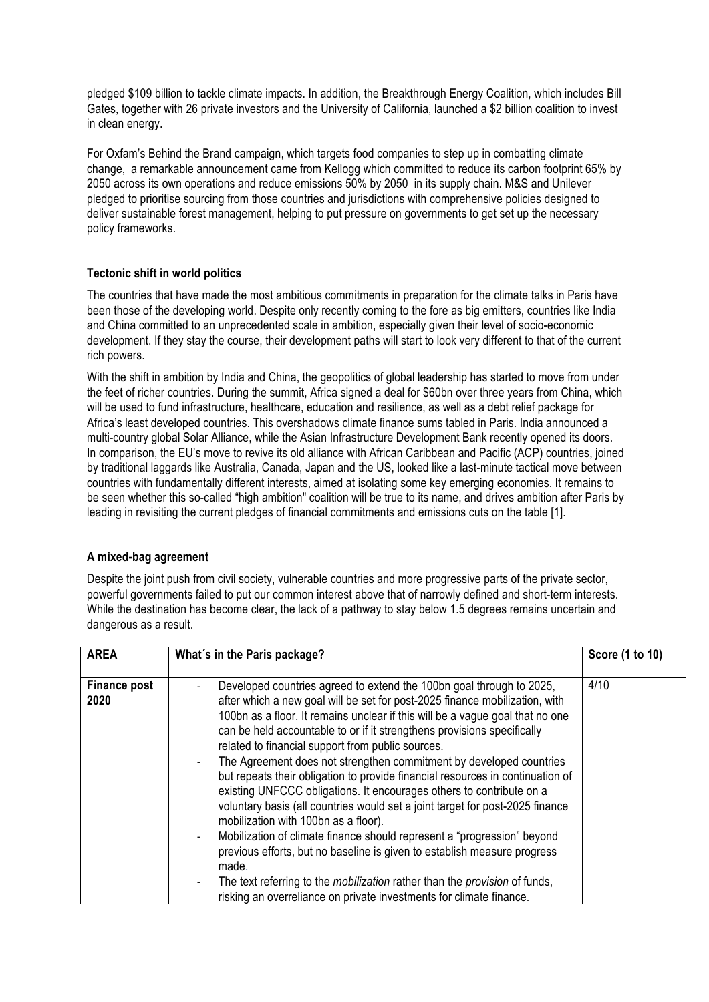pledged \$109 billion to tackle climate impacts. In addition, the Breakthrough Energy Coalition, which includes Bill Gates, together with 26 private investors and the University of California, launched a \$2 billion coalition to invest in clean energy.

For Oxfam's Behind the Brand campaign, which targets food companies to step up in combatting climate change, a remarkable announcement came from Kellogg which committed to reduce its carbon footprint 65% by 2050 across its own operations and reduce emissions 50% by 2050 in its supply chain. M&S and Unilever pledged to prioritise sourcing from those countries and jurisdictions with comprehensive policies designed to deliver sustainable forest management, helping to put pressure on governments to get set up the necessary policy frameworks.

## **Tectonic shift in world politics**

The countries that have made the most ambitious commitments in preparation for the climate talks in Paris have been those of the developing world. Despite only recently coming to the fore as big emitters, countries like India and China committed to an unprecedented scale in ambition, especially given their level of socio-economic development. If they stay the course, their development paths will start to look very different to that of the current rich powers.

With the shift in ambition by India and China, the geopolitics of global leadership has started to move from under the feet of richer countries. During the summit, Africa signed a deal for \$60bn over three years from China, which will be used to fund infrastructure, healthcare, education and resilience, as well as a debt relief package for Africa's least developed countries. This overshadows climate finance sums tabled in Paris. India announced a multi-country global Solar Alliance, while the Asian Infrastructure Development Bank recently opened its doors. In comparison, the EU's move to revive its old alliance with African Caribbean and Pacific (ACP) countries, joined by traditional laggards like Australia, Canada, Japan and the US, looked like a last-minute tactical move between countries with fundamentally different interests, aimed at isolating some key emerging economies. It remains to be seen whether this so-called "high ambition" coalition will be true to its name, and drives ambition after Paris by leading in revisiting the current pledges of financial commitments and emissions cuts on the table [1].

## **A mixed-bag agreement**

Despite the joint push from civil society, vulnerable countries and more progressive parts of the private sector, powerful governments failed to put our common interest above that of narrowly defined and short-term interests. While the destination has become clear, the lack of a pathway to stay below 1.5 degrees remains uncertain and dangerous as a result.

| <b>AREA</b>                 | What's in the Paris package?                                                                                                                                                                                                                                                                                                                                                                                                                                                                                                                                                                                                                                                                                                                                                                                                                                                                                                                                                                                                                                      | Score (1 to 10) |
|-----------------------------|-------------------------------------------------------------------------------------------------------------------------------------------------------------------------------------------------------------------------------------------------------------------------------------------------------------------------------------------------------------------------------------------------------------------------------------------------------------------------------------------------------------------------------------------------------------------------------------------------------------------------------------------------------------------------------------------------------------------------------------------------------------------------------------------------------------------------------------------------------------------------------------------------------------------------------------------------------------------------------------------------------------------------------------------------------------------|-----------------|
| <b>Finance post</b><br>2020 | Developed countries agreed to extend the 100bn goal through to 2025,<br>after which a new goal will be set for post-2025 finance mobilization, with<br>100bn as a floor. It remains unclear if this will be a vague goal that no one<br>can be held accountable to or if it strengthens provisions specifically<br>related to financial support from public sources.<br>The Agreement does not strengthen commitment by developed countries<br>but repeats their obligation to provide financial resources in continuation of<br>existing UNFCCC obligations. It encourages others to contribute on a<br>voluntary basis (all countries would set a joint target for post-2025 finance<br>mobilization with 100bn as a floor).<br>Mobilization of climate finance should represent a "progression" beyond<br>previous efforts, but no baseline is given to establish measure progress<br>made.<br>The text referring to the <i>mobilization</i> rather than the <i>provision</i> of funds,<br>risking an overreliance on private investments for climate finance. | 4/10            |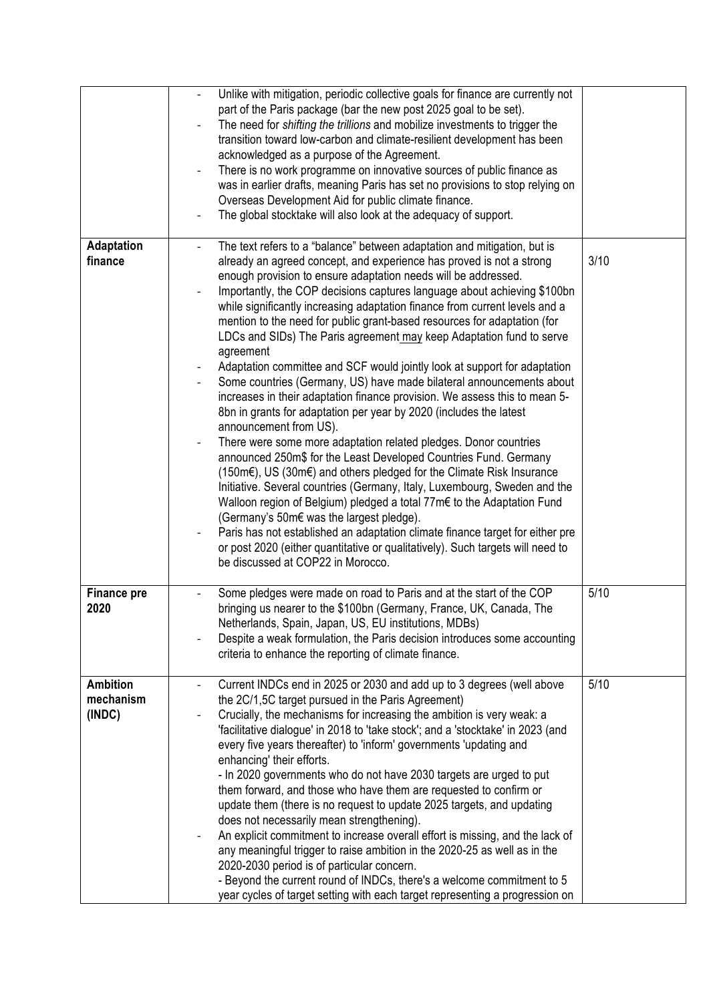|                                        | Unlike with mitigation, periodic collective goals for finance are currently not<br>part of the Paris package (bar the new post 2025 goal to be set).<br>The need for shifting the trillions and mobilize investments to trigger the<br>transition toward low-carbon and climate-resilient development has been<br>acknowledged as a purpose of the Agreement.<br>There is no work programme on innovative sources of public finance as<br>was in earlier drafts, meaning Paris has set no provisions to stop relying on<br>Overseas Development Aid for public climate finance.<br>The global stocktake will also look at the adequacy of support.                                                                                                                                                                                                                                                                                                                                                                                                                                                                                                                                                                                                                                                                                                                                                                                                                                                           |      |
|----------------------------------------|--------------------------------------------------------------------------------------------------------------------------------------------------------------------------------------------------------------------------------------------------------------------------------------------------------------------------------------------------------------------------------------------------------------------------------------------------------------------------------------------------------------------------------------------------------------------------------------------------------------------------------------------------------------------------------------------------------------------------------------------------------------------------------------------------------------------------------------------------------------------------------------------------------------------------------------------------------------------------------------------------------------------------------------------------------------------------------------------------------------------------------------------------------------------------------------------------------------------------------------------------------------------------------------------------------------------------------------------------------------------------------------------------------------------------------------------------------------------------------------------------------------|------|
| <b>Adaptation</b><br>finance           | The text refers to a "balance" between adaptation and mitigation, but is<br>already an agreed concept, and experience has proved is not a strong<br>enough provision to ensure adaptation needs will be addressed.<br>Importantly, the COP decisions captures language about achieving \$100bn<br>while significantly increasing adaptation finance from current levels and a<br>mention to the need for public grant-based resources for adaptation (for<br>LDCs and SIDs) The Paris agreement may keep Adaptation fund to serve<br>agreement<br>Adaptation committee and SCF would jointly look at support for adaptation<br>Some countries (Germany, US) have made bilateral announcements about<br>increases in their adaptation finance provision. We assess this to mean 5-<br>8bn in grants for adaptation per year by 2020 (includes the latest<br>announcement from US).<br>There were some more adaptation related pledges. Donor countries<br>announced 250m\$ for the Least Developed Countries Fund. Germany<br>(150m€), US (30m€) and others pledged for the Climate Risk Insurance<br>Initiative. Several countries (Germany, Italy, Luxembourg, Sweden and the<br>Walloon region of Belgium) pledged a total 77m€ to the Adaptation Fund<br>(Germany's 50m€ was the largest pledge).<br>Paris has not established an adaptation climate finance target for either pre<br>or post 2020 (either quantitative or qualitatively). Such targets will need to<br>be discussed at COP22 in Morocco. | 3/10 |
| <b>Finance pre</b><br>2020             | Some pledges were made on road to Paris and at the start of the COP<br>bringing us nearer to the \$100bn (Germany, France, UK, Canada, The<br>Netherlands, Spain, Japan, US, EU institutions, MDBs)<br>Despite a weak formulation, the Paris decision introduces some accounting<br>criteria to enhance the reporting of climate finance.                                                                                                                                                                                                                                                                                                                                                                                                                                                                                                                                                                                                                                                                                                                                                                                                                                                                                                                                                                                                                                                                                                                                                                    | 5/10 |
| <b>Ambition</b><br>mechanism<br>(INDC) | Current INDCs end in 2025 or 2030 and add up to 3 degrees (well above<br>the 2C/1,5C target pursued in the Paris Agreement)<br>Crucially, the mechanisms for increasing the ambition is very weak: a<br>'facilitative dialogue' in 2018 to 'take stock'; and a 'stocktake' in 2023 (and<br>every five years thereafter) to 'inform' governments 'updating and<br>enhancing' their efforts.<br>- In 2020 governments who do not have 2030 targets are urged to put<br>them forward, and those who have them are requested to confirm or<br>update them (there is no request to update 2025 targets, and updating<br>does not necessarily mean strengthening).<br>An explicit commitment to increase overall effort is missing, and the lack of<br>any meaningful trigger to raise ambition in the 2020-25 as well as in the<br>2020-2030 period is of particular concern.<br>- Beyond the current round of INDCs, there's a welcome commitment to 5<br>year cycles of target setting with each target representing a progression on                                                                                                                                                                                                                                                                                                                                                                                                                                                                           | 5/10 |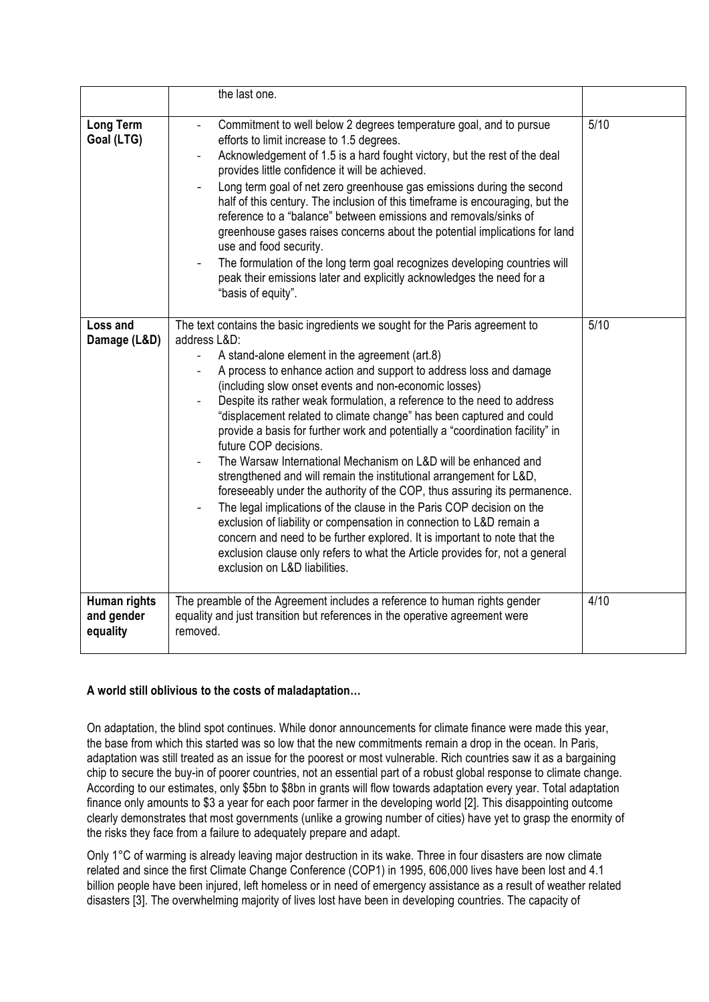|                                        | the last one.                                                                                                                                                                                                                                                                                                                                                                                                                                                                                                                                                                                                                                                                                                                                                                                                                                                                                                                                                                                                                                                                                                   |      |
|----------------------------------------|-----------------------------------------------------------------------------------------------------------------------------------------------------------------------------------------------------------------------------------------------------------------------------------------------------------------------------------------------------------------------------------------------------------------------------------------------------------------------------------------------------------------------------------------------------------------------------------------------------------------------------------------------------------------------------------------------------------------------------------------------------------------------------------------------------------------------------------------------------------------------------------------------------------------------------------------------------------------------------------------------------------------------------------------------------------------------------------------------------------------|------|
| <b>Long Term</b><br>Goal (LTG)         | Commitment to well below 2 degrees temperature goal, and to pursue<br>efforts to limit increase to 1.5 degrees.<br>Acknowledgement of 1.5 is a hard fought victory, but the rest of the deal<br>$\overline{\phantom{a}}$<br>provides little confidence it will be achieved.<br>Long term goal of net zero greenhouse gas emissions during the second<br>half of this century. The inclusion of this timeframe is encouraging, but the<br>reference to a "balance" between emissions and removals/sinks of<br>greenhouse gases raises concerns about the potential implications for land<br>use and food security.<br>The formulation of the long term goal recognizes developing countries will<br>peak their emissions later and explicitly acknowledges the need for a<br>"basis of equity".                                                                                                                                                                                                                                                                                                                  | 5/10 |
| Loss and<br>Damage (L&D)               | The text contains the basic ingredients we sought for the Paris agreement to<br>address L&D:<br>A stand-alone element in the agreement (art.8)<br>A process to enhance action and support to address loss and damage<br>(including slow onset events and non-economic losses)<br>Despite its rather weak formulation, a reference to the need to address<br>"displacement related to climate change" has been captured and could<br>provide a basis for further work and potentially a "coordination facility" in<br>future COP decisions.<br>The Warsaw International Mechanism on L&D will be enhanced and<br>strengthened and will remain the institutional arrangement for L&D,<br>foreseeably under the authority of the COP, thus assuring its permanence.<br>The legal implications of the clause in the Paris COP decision on the<br>exclusion of liability or compensation in connection to L&D remain a<br>concern and need to be further explored. It is important to note that the<br>exclusion clause only refers to what the Article provides for, not a general<br>exclusion on L&D liabilities. | 5/10 |
| Human rights<br>and gender<br>equality | The preamble of the Agreement includes a reference to human rights gender<br>equality and just transition but references in the operative agreement were<br>removed.                                                                                                                                                                                                                                                                                                                                                                                                                                                                                                                                                                                                                                                                                                                                                                                                                                                                                                                                            | 4/10 |

# **A world still oblivious to the costs of maladaptation…**

On adaptation, the blind spot continues. While donor announcements for climate finance were made this year, the base from which this started was so low that the new commitments remain a drop in the ocean. In Paris, adaptation was still treated as an issue for the poorest or most vulnerable. Rich countries saw it as a bargaining chip to secure the buy-in of poorer countries, not an essential part of a robust global response to climate change. According to our estimates, only \$5bn to \$8bn in grants will flow towards adaptation every year. Total adaptation finance only amounts to \$3 a year for each poor farmer in the developing world [2]. This disappointing outcome clearly demonstrates that most governments (unlike a growing number of cities) have yet to grasp the enormity of the risks they face from a failure to adequately prepare and adapt.

Only 1°C of warming is already leaving major destruction in its wake. Three in four disasters are now climate related and since the first Climate Change Conference (COP1) in 1995, 606,000 lives have been lost and 4.1 billion people have been injured, left homeless or in need of emergency assistance as a result of weather related disasters [3]. The overwhelming majority of lives lost have been in developing countries. The capacity of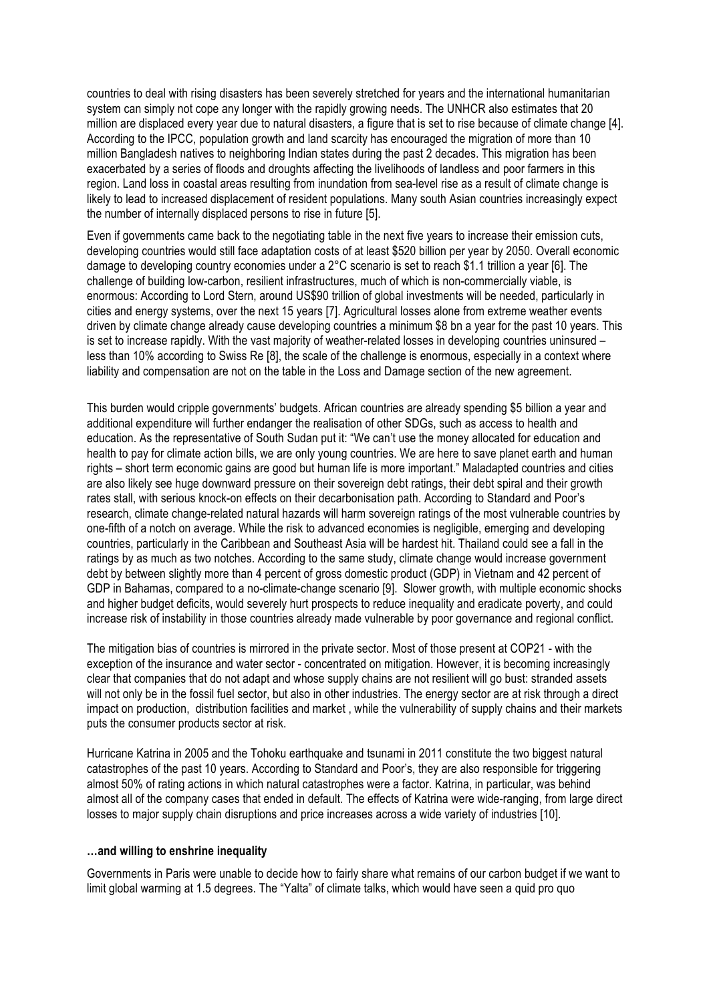countries to deal with rising disasters has been severely stretched for years and the international humanitarian system can simply not cope any longer with the rapidly growing needs. The UNHCR also estimates that 20 million are displaced every year due to natural disasters, a figure that is set to rise because of climate change [4]. According to the IPCC, population growth and land scarcity has encouraged the migration of more than 10 million Bangladesh natives to neighboring Indian states during the past 2 decades. This migration has been exacerbated by a series of floods and droughts affecting the livelihoods of landless and poor farmers in this region. Land loss in coastal areas resulting from inundation from sea-level rise as a result of climate change is likely to lead to increased displacement of resident populations. Many south Asian countries increasingly expect the number of internally displaced persons to rise in future [5].

Even if governments came back to the negotiating table in the next five years to increase their emission cuts, developing countries would still face adaptation costs of at least \$520 billion per year by 2050. Overall economic damage to developing country economies under a 2°C scenario is set to reach \$1.1 trillion a year [6]. The challenge of building low-carbon, resilient infrastructures, much of which is non-commercially viable, is enormous: According to Lord Stern, around US\$90 trillion of global investments will be needed, particularly in cities and energy systems, over the next 15 years [7]. Agricultural losses alone from extreme weather events driven by climate change already cause developing countries a minimum \$8 bn a year for the past 10 years. This is set to increase rapidly. With the vast majority of weather-related losses in developing countries uninsured – less than 10% according to Swiss Re [8], the scale of the challenge is enormous, especially in a context where liability and compensation are not on the table in the Loss and Damage section of the new agreement.

This burden would cripple governments' budgets. African countries are already spending \$5 billion a year and additional expenditure will further endanger the realisation of other SDGs, such as access to health and education. As the representative of South Sudan put it: "We can't use the money allocated for education and health to pay for climate action bills, we are only young countries. We are here to save planet earth and human rights – short term economic gains are good but human life is more important." Maladapted countries and cities are also likely see huge downward pressure on their sovereign debt ratings, their debt spiral and their growth rates stall, with serious knock-on effects on their decarbonisation path. According to Standard and Poor's research, climate change-related natural hazards will harm sovereign ratings of the most vulnerable countries by one-fifth of a notch on average. While the risk to advanced economies is negligible, emerging and developing countries, particularly in the Caribbean and Southeast Asia will be hardest hit. Thailand could see a fall in the ratings by as much as two notches. According to the same study, climate change would increase government debt by between slightly more than 4 percent of gross domestic product (GDP) in Vietnam and 42 percent of GDP in Bahamas, compared to a no-climate-change scenario [9]. Slower growth, with multiple economic shocks and higher budget deficits, would severely hurt prospects to reduce inequality and eradicate poverty, and could increase risk of instability in those countries already made vulnerable by poor governance and regional conflict.

The mitigation bias of countries is mirrored in the private sector. Most of those present at COP21 - with the exception of the insurance and water sector - concentrated on mitigation. However, it is becoming increasingly clear that companies that do not adapt and whose supply chains are not resilient will go bust: stranded assets will not only be in the fossil fuel sector, but also in other industries. The energy sector are at risk through a direct impact on production, distribution facilities and market , while the vulnerability of supply chains and their markets puts the consumer products sector at risk.

Hurricane Katrina in 2005 and the Tohoku earthquake and tsunami in 2011 constitute the two biggest natural catastrophes of the past 10 years. According to Standard and Poor's, they are also responsible for triggering almost 50% of rating actions in which natural catastrophes were a factor. Katrina, in particular, was behind almost all of the company cases that ended in default. The effects of Katrina were wide-ranging, from large direct losses to major supply chain disruptions and price increases across a wide variety of industries [10].

### **…and willing to enshrine inequality**

Governments in Paris were unable to decide how to fairly share what remains of our carbon budget if we want to limit global warming at 1.5 degrees. The "Yalta" of climate talks, which would have seen a quid pro quo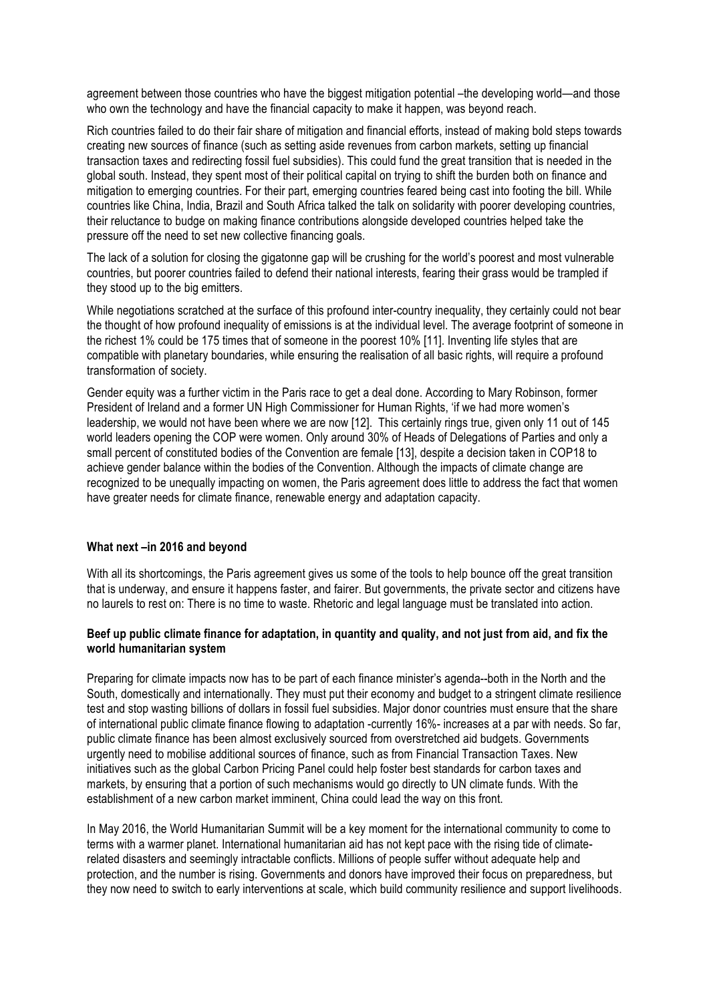agreement between those countries who have the biggest mitigation potential –the developing world—and those who own the technology and have the financial capacity to make it happen, was beyond reach.

Rich countries failed to do their fair share of mitigation and financial efforts, instead of making bold steps towards creating new sources of finance (such as setting aside revenues from carbon markets, setting up financial transaction taxes and redirecting fossil fuel subsidies). This could fund the great transition that is needed in the global south. Instead, they spent most of their political capital on trying to shift the burden both on finance and mitigation to emerging countries. For their part, emerging countries feared being cast into footing the bill. While countries like China, India, Brazil and South Africa talked the talk on solidarity with poorer developing countries, their reluctance to budge on making finance contributions alongside developed countries helped take the pressure off the need to set new collective financing goals.

The lack of a solution for closing the gigatonne gap will be crushing for the world's poorest and most vulnerable countries, but poorer countries failed to defend their national interests, fearing their grass would be trampled if they stood up to the big emitters.

While negotiations scratched at the surface of this profound inter-country inequality, they certainly could not bear the thought of how profound inequality of emissions is at the individual level. The average footprint of someone in the richest 1% could be 175 times that of someone in the poorest 10% [11]. Inventing life styles that are compatible with planetary boundaries, while ensuring the realisation of all basic rights, will require a profound transformation of society.

Gender equity was a further victim in the Paris race to get a deal done. According to Mary Robinson, former President of Ireland and a former UN High Commissioner for Human Rights, 'if we had more women's leadership, we would not have been where we are now [12]. This certainly rings true, given only 11 out of 145 world leaders opening the COP were women. Only around 30% of Heads of Delegations of Parties and only a small percent of constituted bodies of the Convention are female [13], despite a decision taken in COP18 to achieve gender balance within the bodies of the Convention. Although the impacts of climate change are recognized to be unequally impacting on women, the Paris agreement does little to address the fact that women have greater needs for climate finance, renewable energy and adaptation capacity.

## **What next –in 2016 and beyond**

With all its shortcomings, the Paris agreement gives us some of the tools to help bounce off the great transition that is underway, and ensure it happens faster, and fairer. But governments, the private sector and citizens have no laurels to rest on: There is no time to waste. Rhetoric and legal language must be translated into action.

## **Beef up public climate finance for adaptation, in quantity and quality, and not just from aid, and fix the world humanitarian system**

Preparing for climate impacts now has to be part of each finance minister's agenda--both in the North and the South, domestically and internationally. They must put their economy and budget to a stringent climate resilience test and stop wasting billions of dollars in fossil fuel subsidies. Major donor countries must ensure that the share of international public climate finance flowing to adaptation -currently 16%- increases at a par with needs. So far, public climate finance has been almost exclusively sourced from overstretched aid budgets. Governments urgently need to mobilise additional sources of finance, such as from Financial Transaction Taxes. New initiatives such as the global Carbon Pricing Panel could help foster best standards for carbon taxes and markets, by ensuring that a portion of such mechanisms would go directly to UN climate funds. With the establishment of a new carbon market imminent, China could lead the way on this front.

In May 2016, the World Humanitarian Summit will be a key moment for the international community to come to terms with a warmer planet. International humanitarian aid has not kept pace with the rising tide of climaterelated disasters and seemingly intractable conflicts. Millions of people suffer without adequate help and protection, and the number is rising. Governments and donors have improved their focus on preparedness, but they now need to switch to early interventions at scale, which build community resilience and support livelihoods.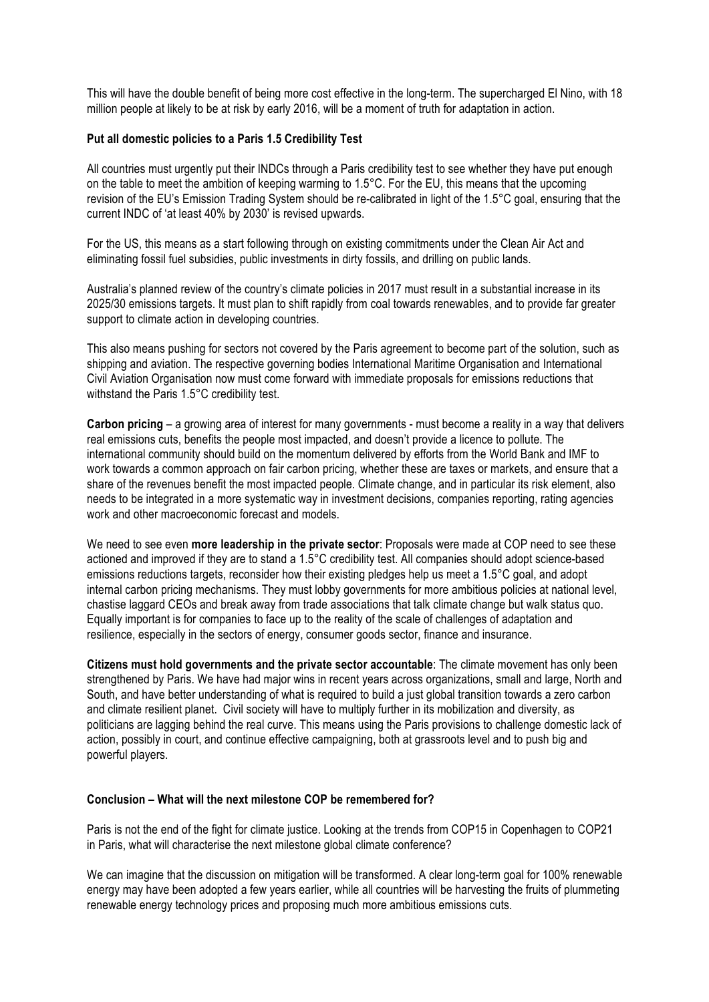This will have the double benefit of being more cost effective in the long-term. The supercharged El Nino, with 18 million people at likely to be at risk by early 2016, will be a moment of truth for adaptation in action.

### **Put all domestic policies to a Paris 1.5 Credibility Test**

All countries must urgently put their INDCs through a Paris credibility test to see whether they have put enough on the table to meet the ambition of keeping warming to 1.5°C. For the EU, this means that the upcoming revision of the EU's Emission Trading System should be re-calibrated in light of the 1.5°C goal, ensuring that the current INDC of 'at least 40% by 2030' is revised upwards.

For the US, this means as a start following through on existing commitments under the Clean Air Act and eliminating fossil fuel subsidies, public investments in dirty fossils, and drilling on public lands.

Australia's planned review of the country's climate policies in 2017 must result in a substantial increase in its 2025/30 emissions targets. It must plan to shift rapidly from coal towards renewables, and to provide far greater support to climate action in developing countries.

This also means pushing for sectors not covered by the Paris agreement to become part of the solution, such as shipping and aviation. The respective governing bodies International Maritime Organisation and International Civil Aviation Organisation now must come forward with immediate proposals for emissions reductions that withstand the Paris 1.5°C credibility test.

**Carbon pricing** – a growing area of interest for many governments - must become a reality in a way that delivers real emissions cuts, benefits the people most impacted, and doesn't provide a licence to pollute. The international community should build on the momentum delivered by efforts from the World Bank and IMF to work towards a common approach on fair carbon pricing, whether these are taxes or markets, and ensure that a share of the revenues benefit the most impacted people. Climate change, and in particular its risk element, also needs to be integrated in a more systematic way in investment decisions, companies reporting, rating agencies work and other macroeconomic forecast and models.

We need to see even **more leadership in the private sector**: Proposals were made at COP need to see these actioned and improved if they are to stand a 1.5°C credibility test. All companies should adopt science-based emissions reductions targets, reconsider how their existing pledges help us meet a 1.5°C goal, and adopt internal carbon pricing mechanisms. They must lobby governments for more ambitious policies at national level, chastise laggard CEOs and break away from trade associations that talk climate change but walk status quo. Equally important is for companies to face up to the reality of the scale of challenges of adaptation and resilience, especially in the sectors of energy, consumer goods sector, finance and insurance.

**Citizens must hold governments and the private sector accountable**: The climate movement has only been strengthened by Paris. We have had major wins in recent years across organizations, small and large, North and South, and have better understanding of what is required to build a just global transition towards a zero carbon and climate resilient planet. Civil society will have to multiply further in its mobilization and diversity, as politicians are lagging behind the real curve. This means using the Paris provisions to challenge domestic lack of action, possibly in court, and continue effective campaigning, both at grassroots level and to push big and powerful players.

### **Conclusion – What will the next milestone COP be remembered for?**

Paris is not the end of the fight for climate justice. Looking at the trends from COP15 in Copenhagen to COP21 in Paris, what will characterise the next milestone global climate conference?

We can imagine that the discussion on mitigation will be transformed. A clear long-term goal for 100% renewable energy may have been adopted a few years earlier, while all countries will be harvesting the fruits of plummeting renewable energy technology prices and proposing much more ambitious emissions cuts.